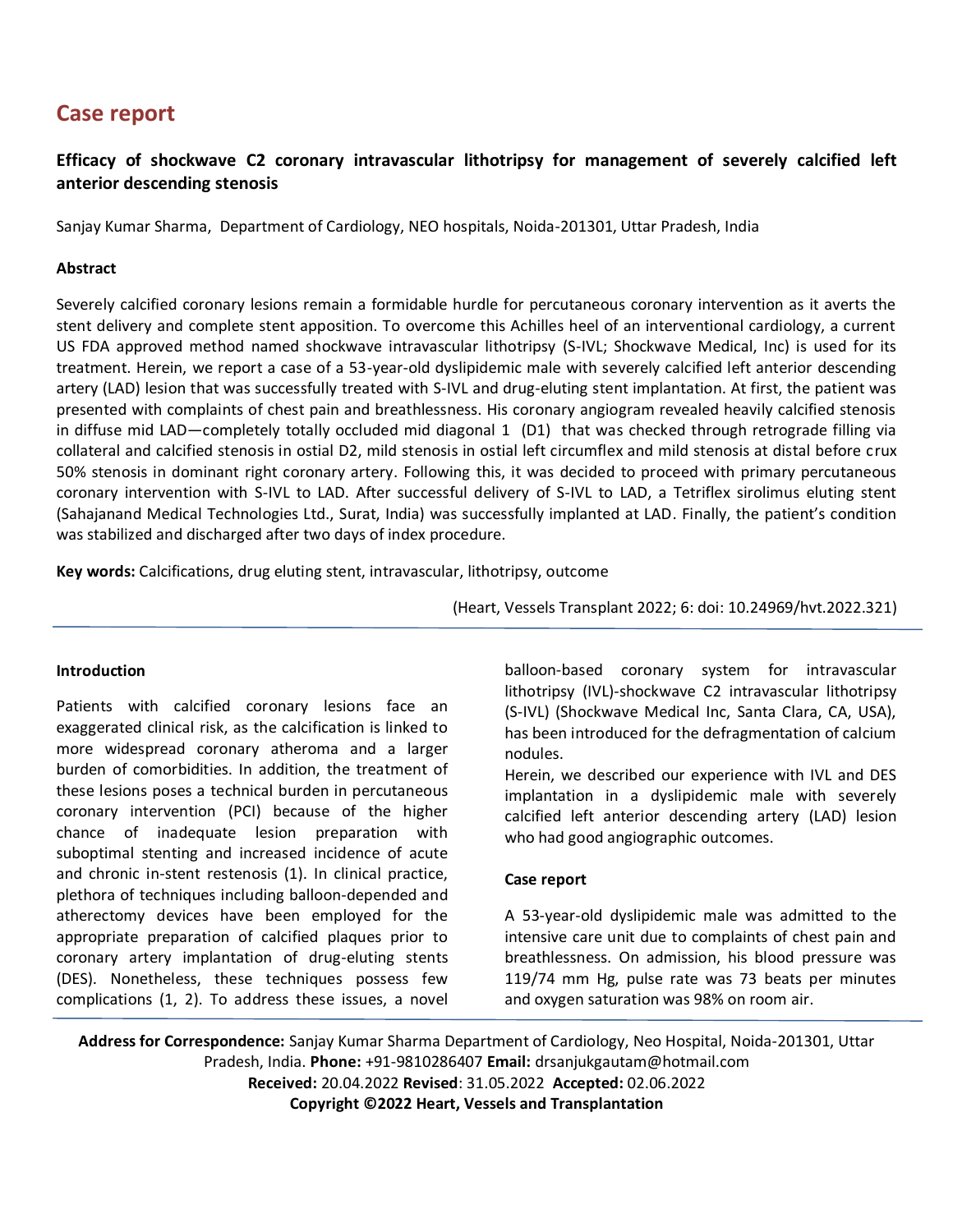# **Case report**

## **Efficacy of shockwave C2 coronary intravascular lithotripsy for management of severely calcified left anterior descending stenosis**

Sanjay Kumar Sharma, Department of Cardiology, NEO hospitals, Noida-201301, Uttar Pradesh, India

## **Abstract**

Severely calcified coronary lesions remain a formidable hurdle for percutaneous coronary intervention as it averts the stent delivery and complete stent apposition. To overcome this Achilles heel of an interventional cardiology, a current US FDA approved method named shockwave intravascular lithotripsy (S-IVL; Shockwave Medical, Inc) is used for its treatment. Herein, we report a case of a 53-year-old dyslipidemic male with severely calcified left anterior descending artery (LAD) lesion that was successfully treated with S-IVL and drug-eluting stent implantation. At first, the patient was presented with complaints of chest pain and breathlessness. His coronary angiogram revealed heavily calcified stenosis in diffuse mid LAD—completely totally occluded mid diagonal 1 (D1) that was checked through retrograde filling via collateral and calcified stenosis in ostial D2, mild stenosis in ostial left circumflex and mild stenosis at distal before crux 50% stenosis in dominant right coronary artery. Following this, it was decided to proceed with primary percutaneous coronary intervention with S-IVL to LAD. After successful delivery of S-IVL to LAD, a Tetriflex sirolimus eluting stent (Sahajanand Medical Technologies Ltd., Surat, India) was successfully implanted at LAD. Finally, the patient's condition was stabilized and discharged after two days of index procedure.

**Key words:** Calcifications, drug eluting stent, intravascular, lithotripsy, outcome

(Heart, Vessels Transplant 2022; 6: doi: 10.24969/hvt.2022.321)

## **Introduction**

Patients with calcified coronary lesions face an exaggerated clinical risk, as the calcification is linked to more widespread coronary atheroma and a larger burden of comorbidities. In addition, the treatment of these lesions poses a technical burden in percutaneous coronary intervention (PCI) because of the higher chance of inadequate lesion preparation with suboptimal stenting and increased incidence of acute and chronic in-stent restenosis (1). In clinical practice, plethora of techniques including balloon-depended and atherectomy devices have been employed for the appropriate preparation of calcified plaques prior to coronary artery implantation of drug-eluting stents (DES). Nonetheless, these techniques possess few complications (1, 2). To address these issues, a novel

balloon-based coronary system for intravascular lithotripsy (IVL)-shockwave C2 intravascular lithotripsy (S-IVL) (Shockwave Medical Inc, Santa Clara, CA, USA), has been introduced for the defragmentation of calcium nodules.

Herein, we described our experience with IVL and DES implantation in a dyslipidemic male with severely calcified left anterior descending artery (LAD) lesion who had good angiographic outcomes.

## **Case report**

A 53-year-old dyslipidemic male was admitted to the intensive care unit due to complaints of chest pain and breathlessness. On admission, his blood pressure was 119/74 mm Hg, pulse rate was 73 beats per minutes and oxygen saturation was 98% on room air.

**Address for Correspondence:** Sanjay Kumar Sharma Department of Cardiology, Neo Hospital, Noida-201301, Uttar Pradesh, India. **Phone:** +91-9810286407 **Email:** drsanjukgautam@hotmail.com **Received:** 20.04.2022 **Revised**: 31.05.2022 **Accepted:** 02.06.2022 **Copyright ©2022 Heart, Vessels and Transplantation**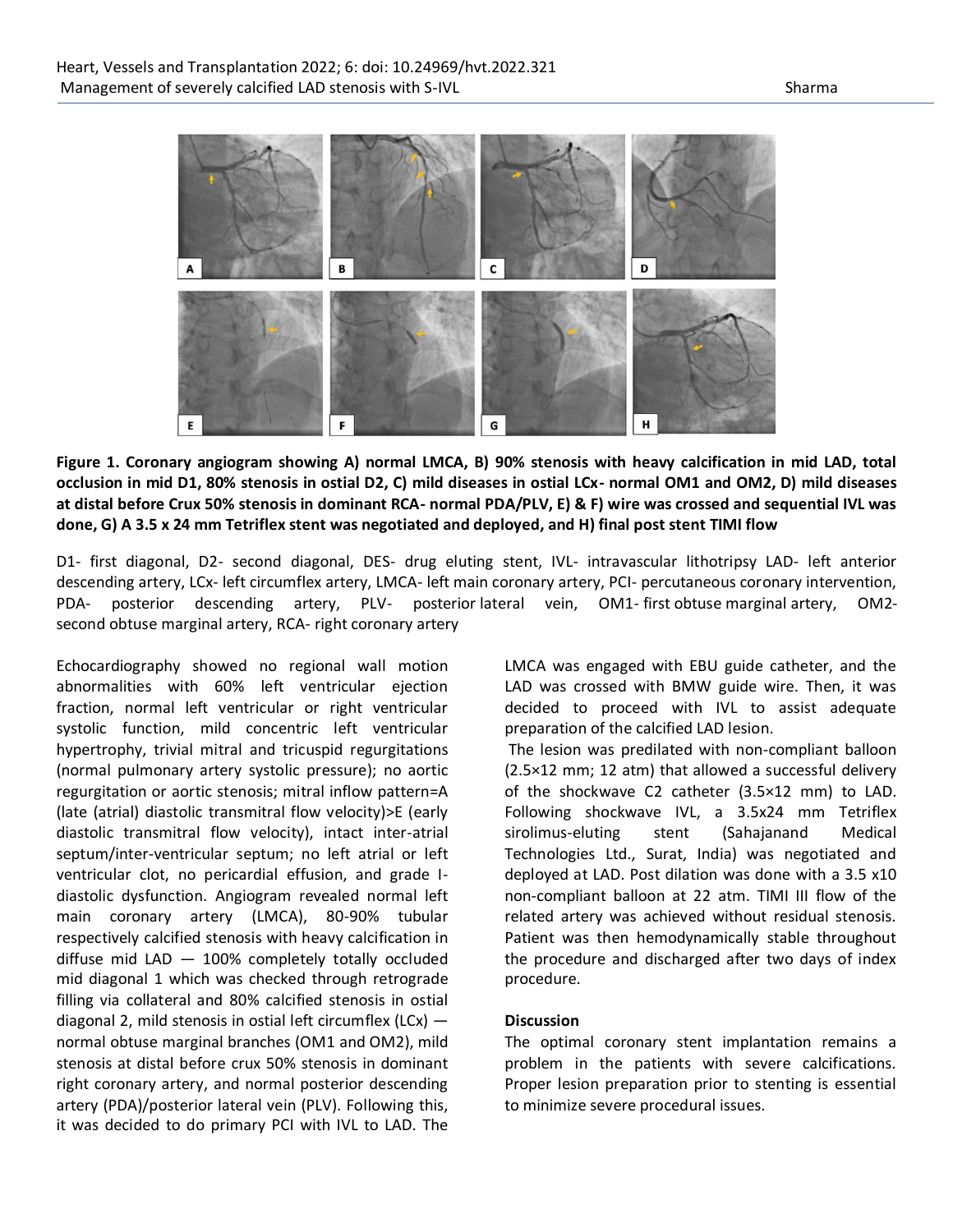

**Figure 1. Coronary angiogram showing A) normal LMCA, B) 90% stenosis with heavy calcification in mid LAD, total occlusion in mid D1, 80% stenosis in ostial D2, C) mild diseases in ostial LCx- normal OM1 and OM2, D) mild diseases at distal before Crux 50% stenosis in dominant RCA- normal PDA/PLV, E) & F) wire was crossed and sequential IVL was done, G) A 3.5 x 24 mm Tetriflex stent was negotiated and deployed, and H) final post stent TIMI flow**

D1- first diagonal, D2- second diagonal, DES- drug eluting stent, IVL- intravascular lithotripsy LAD- left anterior descending artery, LCx- left circumflex artery, LMCA- left main coronary artery, PCI- percutaneous coronary intervention, PDA- posterior descending artery, PLV- posterior lateral vein, OM1- first obtuse marginal artery, OM2 second obtuse marginal artery, RCA- right coronary artery

Echocardiography showed no regional wall motion abnormalities with 60% left ventricular ejection fraction, normal left ventricular or right ventricular systolic function, mild concentric left ventricular hypertrophy, trivial mitral and tricuspid regurgitations (normal pulmonary artery systolic pressure); no aortic regurgitation or aortic stenosis; mitral inflow pattern=A (late (atrial) diastolic transmitral flow velocity)>E (early diastolic transmitral flow velocity), intact inter-atrial septum/inter-ventricular septum; no left atrial or left ventricular clot, no pericardial effusion, and grade Idiastolic dysfunction. Angiogram revealed normal left main coronary artery (LMCA), 80-90% tubular respectively calcified stenosis with heavy calcification in diffuse mid LAD — 100% completely totally occluded mid diagonal 1 which was checked through retrograde filling via collateral and 80% calcified stenosis in ostial diagonal 2, mild stenosis in ostial left circumflex (LCx)  $$ normal obtuse marginal branches (OM1 and OM2), mild stenosis at distal before crux 50% stenosis in dominant right coronary artery, and normal posterior descending artery (PDA)/posterior lateral vein (PLV). Following this, it was decided to do primary PCI with IVL to LAD. The

LMCA was engaged with EBU guide catheter, and the LAD was crossed with BMW guide wire. Then, it was decided to proceed with IVL to assist adequate preparation of the calcified LAD lesion.

The lesion was predilated with non-compliant balloon (2.5×12 mm; 12 atm) that allowed a successful delivery of the shockwave C2 catheter (3.5×12 mm) to LAD. Following shockwave IVL, a 3.5x24 mm Tetriflex sirolimus-eluting stent (Sahajanand Medical Technologies Ltd., Surat, India) was negotiated and deployed at LAD. Post dilation was done with a 3.5 x10 non-compliant balloon at 22 atm. TIMI III flow of the related artery was achieved without residual stenosis. Patient was then hemodynamically stable throughout the procedure and discharged after two days of index procedure.

#### **Discussion**

The optimal coronary stent implantation remains a problem in the patients with severe calcifications. Proper lesion preparation prior to stenting is essential to minimize severe procedural issues.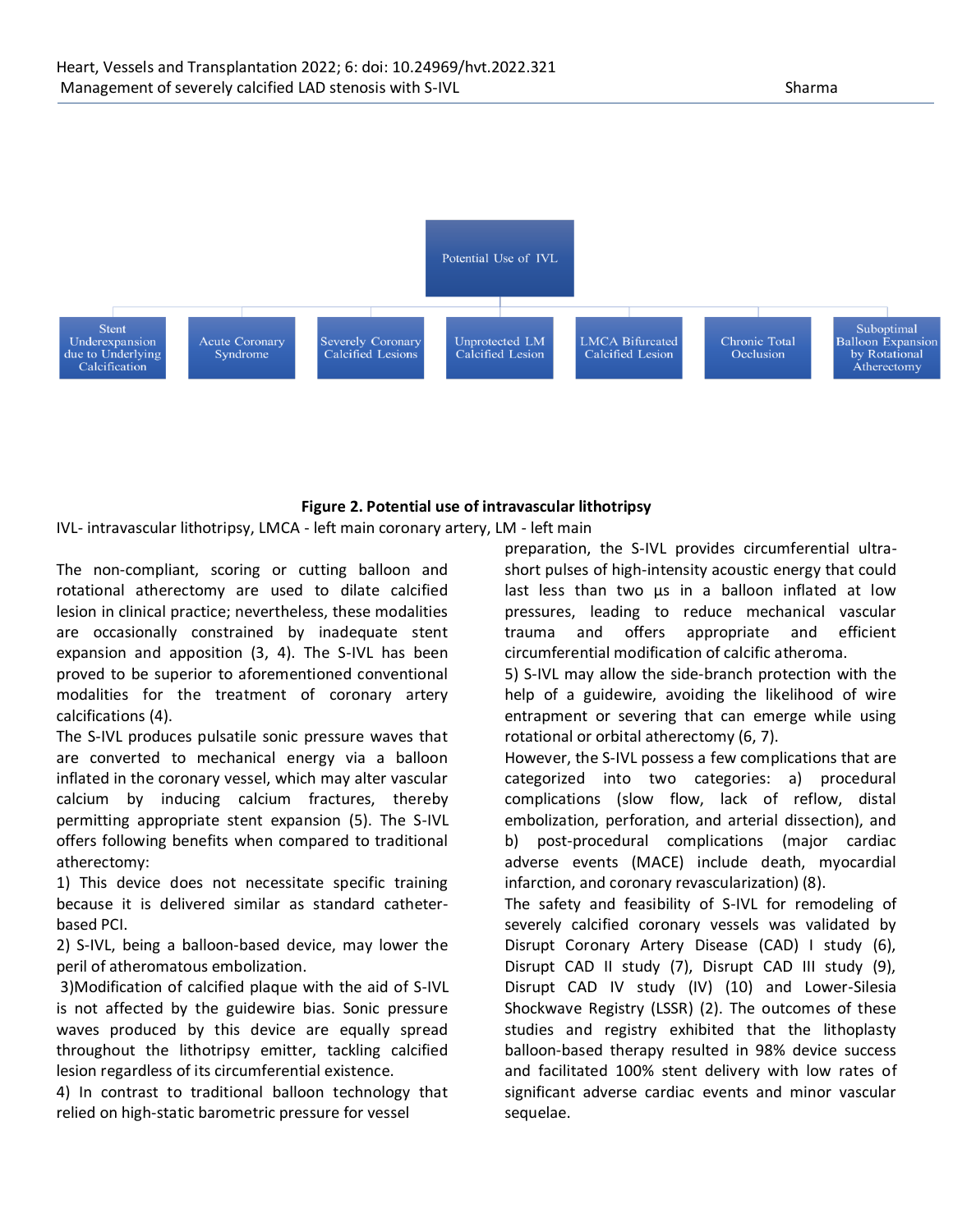

#### **Figure 2. Potential use of intravascular lithotripsy**

IVL- intravascular lithotripsy, LMCA - left main coronary artery, LM - left main

The non-compliant, scoring or cutting balloon and rotational atherectomy are used to dilate calcified lesion in clinical practice; nevertheless, these modalities are occasionally constrained by inadequate stent expansion and apposition (3, 4). The S-IVL has been proved to be superior to aforementioned conventional modalities for the treatment of coronary artery calcifications (4).

The S-IVL produces pulsatile sonic pressure waves that are converted to mechanical energy via a balloon inflated in the coronary vessel, which may alter vascular calcium by inducing calcium fractures, thereby permitting appropriate stent expansion (5). The S-IVL offers following benefits when compared to traditional atherectomy:

1) This device does not necessitate specific training because it is delivered similar as standard catheterbased PCI.

2) S-IVL, being a balloon-based device, may lower the peril of atheromatous embolization.

3)Modification of calcified plaque with the aid of S-IVL is not affected by the guidewire bias. Sonic pressure waves produced by this device are equally spread throughout the lithotripsy emitter, tackling calcified lesion regardless of its circumferential existence.

4) In contrast to traditional balloon technology that relied on high-static barometric pressure for vessel

preparation, the S-IVL provides circumferential ultrashort pulses of high-intensity acoustic energy that could last less than two μs in a balloon inflated at low pressures, leading to reduce mechanical vascular trauma and offers appropriate and efficient circumferential modification of calcific atheroma.

5) S-IVL may allow the side-branch protection with the help of a guidewire, avoiding the likelihood of wire entrapment or severing that can emerge while using rotational or orbital atherectomy (6, 7).

However, the S-IVL possess a few complications that are categorized into two categories: a) procedural complications (slow flow, lack of reflow, distal embolization, perforation, and arterial dissection), and b) post-procedural complications (major cardiac adverse events (MACE) include death, myocardial infarction, and coronary revascularization) (8).

The safety and feasibility of S-IVL for remodeling of severely calcified coronary vessels was validated by Disrupt Coronary Artery Disease (CAD) I study (6), Disrupt CAD II study (7), Disrupt CAD III study (9), Disrupt CAD IV study (IV) (10) and Lower-Silesia Shockwave Registry (LSSR) (2). The outcomes of these studies and registry exhibited that the lithoplasty balloon-based therapy resulted in 98% device success and facilitated 100% stent delivery with low rates of significant adverse cardiac events and minor vascular sequelae.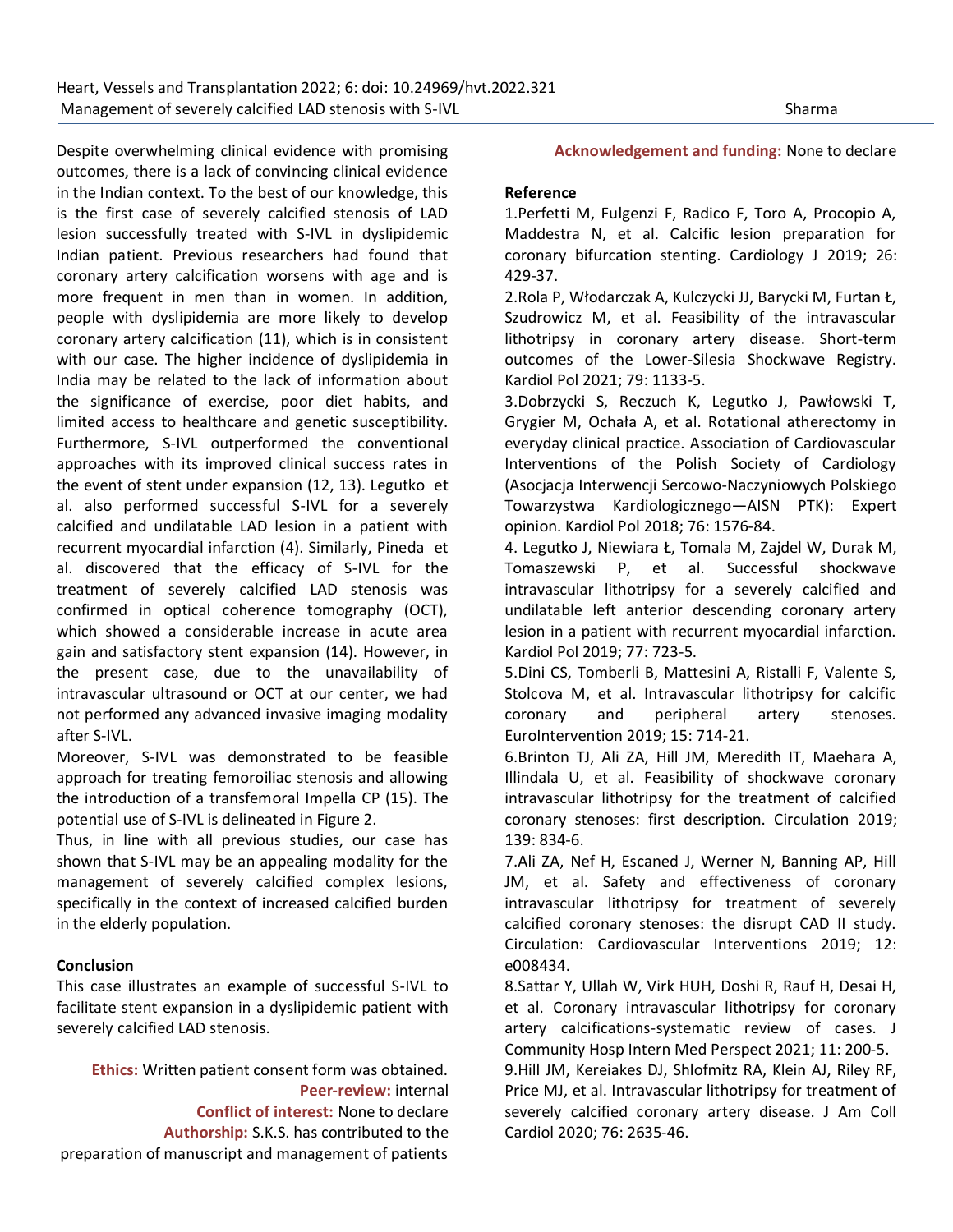Despite overwhelming clinical evidence with promising outcomes, there is a lack of convincing clinical evidence in the Indian context. To the best of our knowledge, this is the first case of severely calcified stenosis of LAD lesion successfully treated with S-IVL in dyslipidemic Indian patient. Previous researchers had found that coronary artery calcification worsens with age and is more frequent in men than in women. In addition, people with dyslipidemia are more likely to develop coronary artery calcification (11), which is in consistent with our case. The higher incidence of dyslipidemia in India may be related to the lack of information about the significance of exercise, poor diet habits, and limited access to healthcare and genetic susceptibility. Furthermore, S-IVL outperformed the conventional approaches with its improved clinical success rates in the event of stent under expansion (12, 13). Legutko et al. also performed successful S-IVL for a severely calcified and undilatable LAD lesion in a patient with recurrent myocardial infarction (4). Similarly, Pineda et al. discovered that the efficacy of S-IVL for the treatment of severely calcified LAD stenosis was confirmed in optical coherence tomography (OCT), which showed a considerable increase in acute area gain and satisfactory stent expansion (14). However, in the present case, due to the unavailability of intravascular ultrasound or OCT at our center, we had not performed any advanced invasive imaging modality after S-IVL.

Moreover, S-IVL was demonstrated to be feasible approach for treating femoroiliac stenosis and allowing the introduction of a transfemoral Impella CP (15). The potential use of S-IVL is delineated in Figure 2.

Thus, in line with all previous studies, our case has shown that S-IVL may be an appealing modality for the management of severely calcified complex lesions, specifically in the context of increased calcified burden in the elderly population.

## **Conclusion**

This case illustrates an example of successful S-IVL to facilitate stent expansion in a dyslipidemic patient with severely calcified LAD stenosis.

**Ethics:** Written patient consent form was obtained. **Peer-review:** internal **Conflict of interest:** None to declare **Authorship:** S.K.S. has contributed to the preparation of manuscript and management of patients

## **Acknowledgement and funding:** None to declare

#### **Reference**

1.Perfetti M, Fulgenzi F, Radico F, Toro A, Procopio A, Maddestra N, et al. Calcific lesion preparation for coronary bifurcation stenting. Cardiology J 2019; 26: 429-37.

2.Rola P, Włodarczak A, Kulczycki JJ, Barycki M, Furtan Ł, Szudrowicz M, et al. Feasibility of the intravascular lithotripsy in coronary artery disease. Short-term outcomes of the Lower-Silesia Shockwave Registry. Kardiol Pol 2021; 79: 1133-5.

3.Dobrzycki S, Reczuch K, Legutko J, Pawłowski T, Grygier M, Ochała A, et al. Rotational atherectomy in everyday clinical practice. Association of Cardiovascular Interventions of the Polish Society of Cardiology (Asocjacja Interwencji Sercowo-Naczyniowych Polskiego Towarzystwa Kardiologicznego—AISN PTK): Expert opinion. Kardiol Pol 2018; 76: 1576-84.

4. Legutko J, Niewiara Ł, Tomala M, Zajdel W, Durak M, Tomaszewski P, et al. Successful shockwave intravascular lithotripsy for a severely calcified and undilatable left anterior descending coronary artery lesion in a patient with recurrent myocardial infarction. Kardiol Pol 2019; 77: 723-5.

5.Dini CS, Tomberli B, Mattesini A, Ristalli F, Valente S, Stolcova M, et al. Intravascular lithotripsy for calcific coronary and peripheral artery stenoses. EuroIntervention 2019; 15: 714-21.

6.Brinton TJ, Ali ZA, Hill JM, Meredith IT, Maehara A, Illindala U, et al. Feasibility of shockwave coronary intravascular lithotripsy for the treatment of calcified coronary stenoses: first description. Circulation 2019; 139: 834-6.

7.Ali ZA, Nef H, Escaned J, Werner N, Banning AP, Hill JM, et al. Safety and effectiveness of coronary intravascular lithotripsy for treatment of severely calcified coronary stenoses: the disrupt CAD II study. Circulation: Cardiovascular Interventions 2019; 12: e008434.

8.Sattar Y, Ullah W, Virk HUH, Doshi R, Rauf H, Desai H, et al. Coronary intravascular lithotripsy for coronary artery calcifications-systematic review of cases. J Community Hosp Intern Med Perspect 2021; 11: 200-5.

9.Hill JM, Kereiakes DJ, Shlofmitz RA, Klein AJ, Riley RF, Price MJ, et al. Intravascular lithotripsy for treatment of severely calcified coronary artery disease. J Am Coll Cardiol 2020; 76: 2635-46.